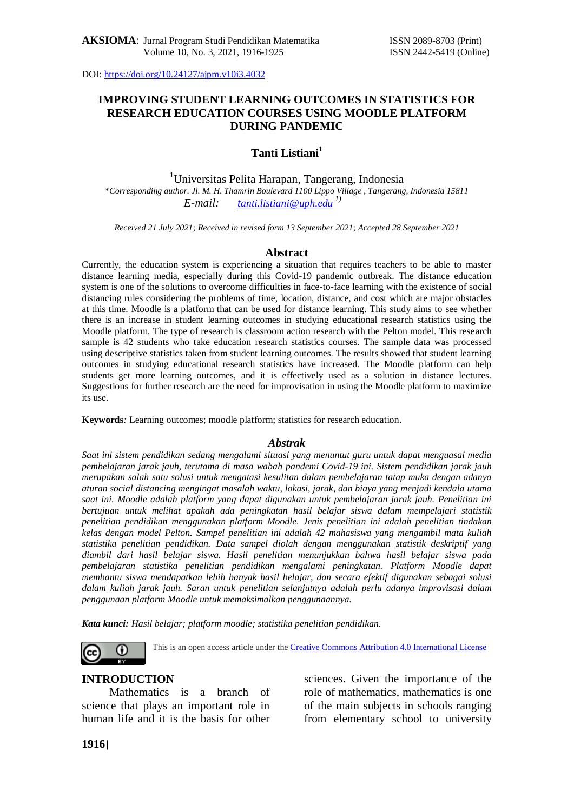# **IMPROVING STUDENT LEARNING OUTCOMES IN STATISTICS FOR RESEARCH EDUCATION COURSES USING MOODLE PLATFORM DURING PANDEMIC**

## **Tanti Listiani<sup>1</sup>**

<sup>1</sup>Universitas Pelita Harapan, Tangerang, Indonesia \**Corresponding author. Jl. M. H. Thamrin Boulevard 1100 Lippo Village , Tangerang, Indonesia 15811 E-mail: t[anti.listiani@uph.edu](mailto:tanti.listiani@uph.edu) 1)*

*Received 21 July 2021; Received in revised form 13 September 2021; Accepted 28 September 2021*

#### **Abstract**

Currently, the education system is experiencing a situation that requires teachers to be able to master distance learning media, especially during this Covid-19 pandemic outbreak. The distance education system is one of the solutions to overcome difficulties in face-to-face learning with the existence of social distancing rules considering the problems of time, location, distance, and cost which are major obstacles at this time. Moodle is a platform that can be used for distance learning. This study aims to see whether there is an increase in student learning outcomes in studying educational research statistics using the Moodle platform. The type of research is classroom action research with the Pelton model. This research sample is 42 students who take education research statistics courses. The sample data was processed using descriptive statistics taken from student learning outcomes. The results showed that student learning outcomes in studying educational research statistics have increased. The Moodle platform can help students get more learning outcomes, and it is effectively used as a solution in distance lectures. Suggestions for further research are the need for improvisation in using the Moodle platform to maximize its use.

**Keywords***:* Learning outcomes; moodle platform; statistics for research education.

### *Abstrak*

*Saat ini sistem pendidikan sedang mengalami situasi yang menuntut guru untuk dapat menguasai media pembelajaran jarak jauh, terutama di masa wabah pandemi Covid-19 ini. Sistem pendidikan jarak jauh merupakan salah satu solusi untuk mengatasi kesulitan dalam pembelajaran tatap muka dengan adanya aturan social distancing mengingat masalah waktu, lokasi, jarak, dan biaya yang menjadi kendala utama saat ini. Moodle adalah platform yang dapat digunakan untuk pembelajaran jarak jauh. Penelitian ini bertujuan untuk melihat apakah ada peningkatan hasil belajar siswa dalam mempelajari statistik penelitian pendidikan menggunakan platform Moodle. Jenis penelitian ini adalah penelitian tindakan kelas dengan model Pelton. Sampel penelitian ini adalah 42 mahasiswa yang mengambil mata kuliah statistika penelitian pendidikan. Data sampel diolah dengan menggunakan statistik deskriptif yang diambil dari hasil belajar siswa. Hasil penelitian menunjukkan bahwa hasil belajar siswa pada pembelajaran statistika penelitian pendidikan mengalami peningkatan. Platform Moodle dapat membantu siswa mendapatkan lebih banyak hasil belajar, dan secara efektif digunakan sebagai solusi dalam kuliah jarak jauh. Saran untuk penelitian selanjutnya adalah perlu adanya improvisasi dalam penggunaan platform Moodle untuk memaksimalkan penggunaannya.*

*Kata kunci: Hasil belajar; platform moodle; statistika penelitian pendidikan.*



This is an open access article under the [Creative Commons Attribution 4.0 International License](http://creativecommons.org/licenses/by/4.0/)

### **INTRODUCTION**

Mathematics is a branch of science that plays an important role in human life and it is the basis for other sciences. Given the importance of the role of mathematics, mathematics is one of the main subjects in schools ranging from elementary school to university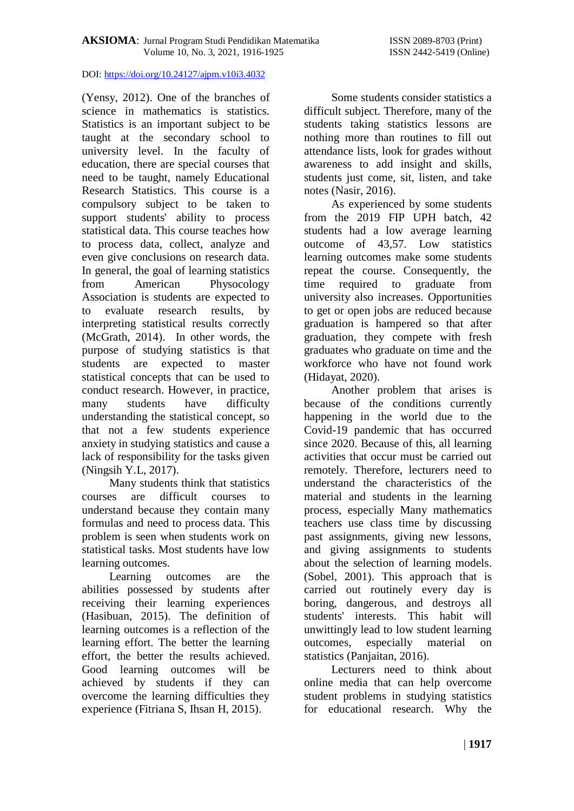(Yensy, 2012). One of the branches of science in mathematics is statistics. Statistics is an important subject to be taught at the secondary school to university level. In the faculty of education, there are special courses that need to be taught, namely Educational Research Statistics. This course is a compulsory subject to be taken to support students' ability to process statistical data. This course teaches how to process data, collect, analyze and even give conclusions on research data. In general, the goal of learning statistics from American Physocology Association is students are expected to to evaluate research results, by interpreting statistical results correctly (McGrath, 2014). In other words, the purpose of studying statistics is that students are expected to master statistical concepts that can be used to conduct research. However, in practice, many students have difficulty understanding the statistical concept, so that not a few students experience anxiety in studying statistics and cause a lack of responsibility for the tasks given (Ningsih Y.L, 2017).

Many students think that statistics courses are difficult courses to understand because they contain many formulas and need to process data. This problem is seen when students work on statistical tasks. Most students have low learning outcomes.

Learning outcomes are the abilities possessed by students after receiving their learning experiences (Hasibuan, 2015). The definition of learning outcomes is a reflection of the learning effort. The better the learning effort, the better the results achieved. Good learning outcomes will be achieved by students if they can overcome the learning difficulties they experience (Fitriana S, Ihsan H, 2015).

Some students consider statistics a difficult subject. Therefore, many of the students taking statistics lessons are nothing more than routines to fill out attendance lists, look for grades without awareness to add insight and skills, students just come, sit, listen, and take notes (Nasir, 2016).

As experienced by some students from the 2019 FIP UPH batch, 42 students had a low average learning outcome of 43,57. Low statistics learning outcomes make some students repeat the course. Consequently, the time required to graduate from university also increases. Opportunities to get or open jobs are reduced because graduation is hampered so that after graduation, they compete with fresh graduates who graduate on time and the workforce who have not found work (Hidayat, 2020).

Another problem that arises is because of the conditions currently happening in the world due to the Covid-19 pandemic that has occurred since 2020. Because of this, all learning activities that occur must be carried out remotely. Therefore, lecturers need to understand the characteristics of the material and students in the learning process, especially Many mathematics teachers use class time by discussing past assignments, giving new lessons, and giving assignments to students about the selection of learning models. (Sobel, 2001). This approach that is carried out routinely every day is boring, dangerous, and destroys all students' interests. This habit will unwittingly lead to low student learning outcomes, especially material on statistics (Panjaitan, 2016).

Lecturers need to think about online media that can help overcome student problems in studying statistics for educational research. Why the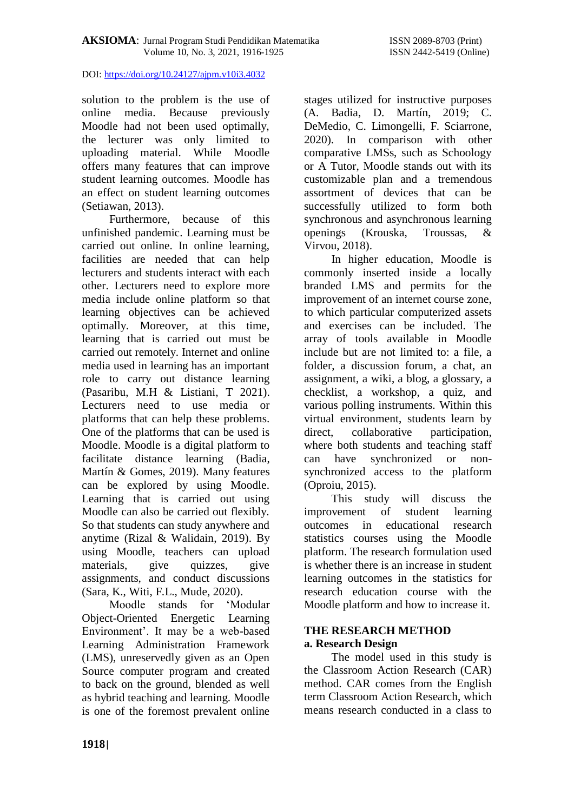solution to the problem is the use of online media. Because previously Moodle had not been used optimally, the lecturer was only limited to uploading material. While Moodle offers many features that can improve student learning outcomes. Moodle has an effect on student learning outcomes (Setiawan, 2013).

Furthermore, because of this unfinished pandemic. Learning must be carried out online. In online learning, facilities are needed that can help lecturers and students interact with each other. Lecturers need to explore more media include online platform so that learning objectives can be achieved optimally. Moreover, at this time, learning that is carried out must be carried out remotely. Internet and online media used in learning has an important role to carry out distance learning (Pasaribu, M.H & Listiani, T 2021). Lecturers need to use media or platforms that can help these problems. One of the platforms that can be used is Moodle. Moodle is a digital platform to facilitate distance learning (Badia, Martín & Gomes, 2019). Many features can be explored by using Moodle. Learning that is carried out using Moodle can also be carried out flexibly. So that students can study anywhere and anytime (Rizal & Walidain, 2019). By using Moodle, teachers can upload materials, give quizzes, give assignments, and conduct discussions (Sara, K., Witi, F.L., Mude, 2020).

Moodle stands for 'Modular Object-Oriented Energetic Learning Environment'. It may be a web-based Learning Administration Framework (LMS), unreservedly given as an Open Source computer program and created to back on the ground, blended as well as hybrid teaching and learning. Moodle is one of the foremost prevalent online stages utilized for instructive purposes (A. Badia, D. Martín, 2019; C. DeMedio, C. Limongelli, F. Sciarrone, 2020). In comparison with other comparative LMSs, such as Schoology or A Tutor, Moodle stands out with its customizable plan and a tremendous assortment of devices that can be successfully utilized to form both synchronous and asynchronous learning openings (Krouska, Troussas, & Virvou, 2018).

In higher education, Moodle is commonly inserted inside a locally branded LMS and permits for the improvement of an internet course zone, to which particular computerized assets and exercises can be included. The array of tools available in Moodle include but are not limited to: a file, a folder, a discussion forum, a chat, an assignment, a wiki, a blog, a glossary, a checklist, a workshop, a quiz, and various polling instruments. Within this virtual environment, students learn by direct, collaborative participation, where both students and teaching staff can have synchronized or nonsynchronized access to the platform (Oproiu, 2015).

This study will discuss the improvement of student learning outcomes in educational research statistics courses using the Moodle platform. The research formulation used is whether there is an increase in student learning outcomes in the statistics for research education course with the Moodle platform and how to increase it.

# **THE RESEARCH METHOD a. Research Design**

The model used in this study is the Classroom Action Research (CAR) method. CAR comes from the English term Classroom Action Research, which means research conducted in a class to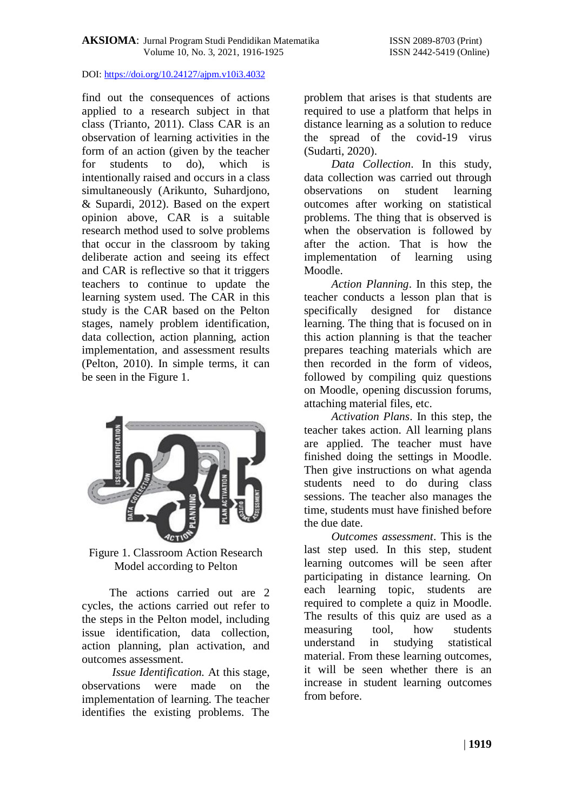find out the consequences of actions applied to a research subject in that class (Trianto, 2011). Class CAR is an observation of learning activities in the form of an action (given by the teacher for students to do), which is intentionally raised and occurs in a class simultaneously (Arikunto, Suhardjono, & Supardi, 2012). Based on the expert opinion above, CAR is a suitable research method used to solve problems that occur in the classroom by taking deliberate action and seeing its effect and CAR is reflective so that it triggers teachers to continue to update the learning system used. The CAR in this study is the CAR based on the Pelton stages, namely problem identification, data collection, action planning, action implementation, and assessment results (Pelton, 2010). In simple terms, it can be seen in the Figure 1.



Figure 1. Classroom Action Research Model according to Pelton

The actions carried out are 2 cycles, the actions carried out refer to the steps in the Pelton model, including issue identification, data collection, action planning, plan activation, and outcomes assessment.

*Issue Identification.* At this stage, observations were made on the implementation of learning. The teacher identifies the existing problems. The

problem that arises is that students are required to use a platform that helps in distance learning as a solution to reduce the spread of the covid-19 virus (Sudarti, 2020).

*Data Collection*. In this study, data collection was carried out through observations on student learning outcomes after working on statistical problems. The thing that is observed is when the observation is followed by after the action. That is how the implementation of learning using Moodle.

*Action Planning*. In this step, the teacher conducts a lesson plan that is specifically designed for distance learning. The thing that is focused on in this action planning is that the teacher prepares teaching materials which are then recorded in the form of videos, followed by compiling quiz questions on Moodle, opening discussion forums, attaching material files, etc.

*Activation Plans*. In this step, the teacher takes action. All learning plans are applied. The teacher must have finished doing the settings in Moodle. Then give instructions on what agenda students need to do during class sessions. The teacher also manages the time, students must have finished before the due date.

*Outcomes assessment*. This is the last step used. In this step, student learning outcomes will be seen after participating in distance learning. On each learning topic, students are required to complete a quiz in Moodle. The results of this quiz are used as a measuring tool, how students understand in studying statistical material. From these learning outcomes, it will be seen whether there is an increase in student learning outcomes from before.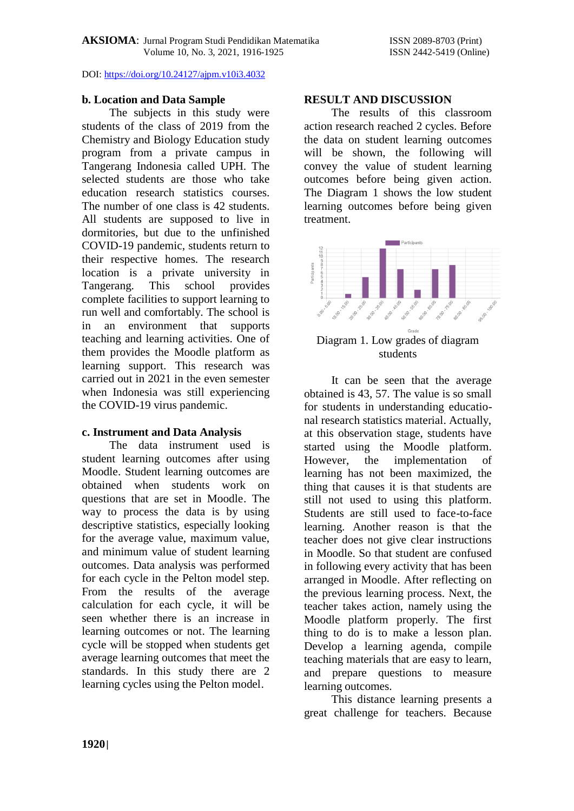## **b. Location and Data Sample**

The subjects in this study were students of the class of 2019 from the Chemistry and Biology Education study program from a private campus in Tangerang Indonesia called UPH. The selected students are those who take education research statistics courses. The number of one class is 42 students. All students are supposed to live in dormitories, but due to the unfinished COVID-19 pandemic, students return to their respective homes. The research location is a private university in Tangerang. This school provides complete facilities to support learning to run well and comfortably. The school is in an environment that supports teaching and learning activities. One of them provides the Moodle platform as learning support. This research was carried out in 2021 in the even semester when Indonesia was still experiencing the COVID-19 virus pandemic.

# **c. Instrument and Data Analysis**

The data instrument used is student learning outcomes after using Moodle. Student learning outcomes are obtained when students work on questions that are set in Moodle. The way to process the data is by using descriptive statistics, especially looking for the average value, maximum value, and minimum value of student learning outcomes. Data analysis was performed for each cycle in the Pelton model step. From the results of the average calculation for each cycle, it will be seen whether there is an increase in learning outcomes or not. The learning cycle will be stopped when students get average learning outcomes that meet the standards. In this study there are 2 learning cycles using the Pelton model.

## **RESULT AND DISCUSSION**

The results of this classroom action research reached 2 cycles. Before the data on student learning outcomes will be shown, the following will convey the value of student learning outcomes before being given action. The Diagram 1 shows the low student learning outcomes before being given treatment.



Diagram 1. Low grades of diagram students

It can be seen that the average obtained is 43, 57. The value is so small for students in understanding educational research statistics material. Actually, at this observation stage, students have started using the Moodle platform. However, the implementation of learning has not been maximized, the thing that causes it is that students are still not used to using this platform. Students are still used to face-to-face learning. Another reason is that the teacher does not give clear instructions in Moodle. So that student are confused in following every activity that has been arranged in Moodle. After reflecting on the previous learning process. Next, the teacher takes action, namely using the Moodle platform properly. The first thing to do is to make a lesson plan. Develop a learning agenda, compile teaching materials that are easy to learn, and prepare questions to measure learning outcomes.

This distance learning presents a great challenge for teachers. Because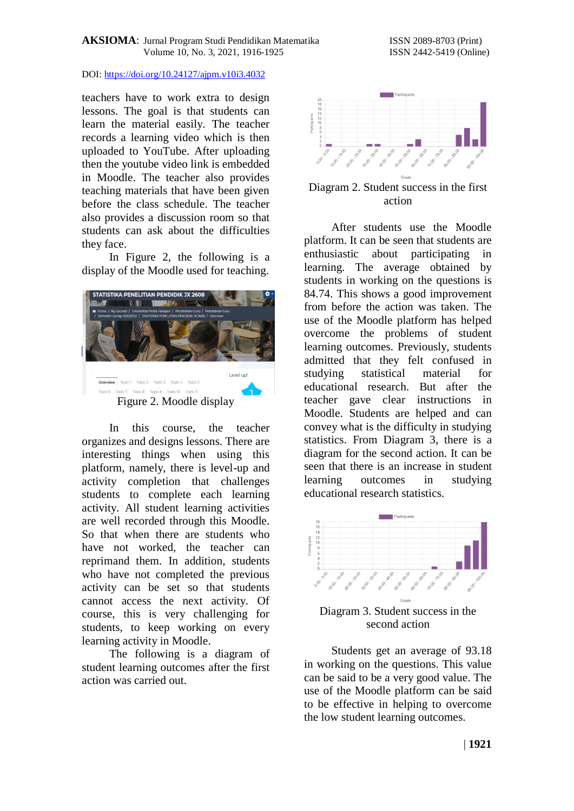teachers have to work extra to design lessons. The goal is that students can learn the material easily. The teacher records a learning video which is then uploaded to YouTube. After uploading then the youtube video link is embedded in Moodle. The teacher also provides teaching materials that have been given before the class schedule. The teacher also provides a discussion room so that students can ask about the difficulties they face.

In Figure 2, the following is a display of the Moodle used for teaching.



In this course, the teacher organizes and designs lessons. There are interesting things when using this platform, namely, there is level-up and activity completion that challenges students to complete each learning activity. All student learning activities are well recorded through this Moodle. So that when there are students who have not worked, the teacher can reprimand them. In addition, students who have not completed the previous activity can be set so that students cannot access the next activity. Of course, this is very challenging for students, to keep working on every learning activity in Moodle.

The following is a diagram of student learning outcomes after the first action was carried out.



Diagram 2. Student success in the first action

After students use the Moodle platform. It can be seen that students are enthusiastic about participating in learning. The average obtained by students in working on the questions is 84.74. This shows a good improvement from before the action was taken. The use of the Moodle platform has helped overcome the problems of student learning outcomes. Previously, students admitted that they felt confused in studying statistical material for educational research. But after the teacher gave clear instructions in Moodle. Students are helped and can convey what is the difficulty in studying statistics. From Diagram 3, there is a diagram for the second action. It can be seen that there is an increase in student learning outcomes in studying educational research statistics.



Diagram 3. Student success in the second action

Students get an average of 93.18 in working on the questions. This value can be said to be a very good value. The use of the Moodle platform can be said to be effective in helping to overcome the low student learning outcomes.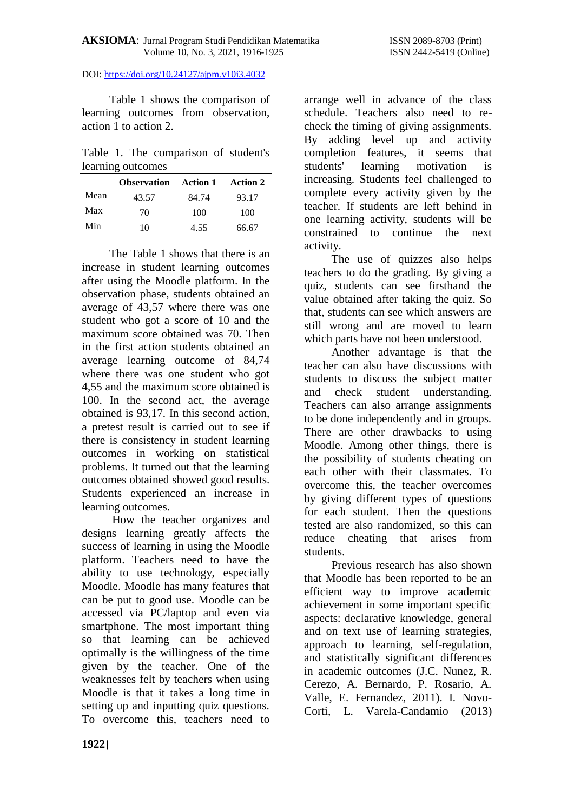Table 1 shows the comparison of learning outcomes from observation, action 1 to action 2.

Table 1. The comparison of student's learning outcomes

|      | <b>Observation</b> | <b>Action 1</b> | <b>Action 2</b> |
|------|--------------------|-----------------|-----------------|
| Mean | 43.57              | 84.74           | 93.17           |
| Max  | 70                 | 100             | 100             |
| Min  | 10                 | 4.55            | 66.67           |

The Table 1 shows that there is an increase in student learning outcomes after using the Moodle platform. In the observation phase, students obtained an average of 43,57 where there was one student who got a score of 10 and the maximum score obtained was 70. Then in the first action students obtained an average learning outcome of 84,74 where there was one student who got 4,55 and the maximum score obtained is 100. In the second act, the average obtained is 93,17. In this second action, a pretest result is carried out to see if there is consistency in student learning outcomes in working on statistical problems. It turned out that the learning outcomes obtained showed good results. Students experienced an increase in learning outcomes.

How the teacher organizes and designs learning greatly affects the success of learning in using the Moodle platform. Teachers need to have the ability to use technology, especially Moodle. Moodle has many features that can be put to good use. Moodle can be accessed via PC/laptop and even via smartphone. The most important thing so that learning can be achieved optimally is the willingness of the time given by the teacher. One of the weaknesses felt by teachers when using Moodle is that it takes a long time in setting up and inputting quiz questions. To overcome this, teachers need to

arrange well in advance of the class schedule. Teachers also need to recheck the timing of giving assignments. By adding level up and activity completion features, it seems that students' learning motivation is increasing. Students feel challenged to complete every activity given by the teacher. If students are left behind in one learning activity, students will be constrained to continue the next activity.

The use of quizzes also helps teachers to do the grading. By giving a quiz, students can see firsthand the value obtained after taking the quiz. So that, students can see which answers are still wrong and are moved to learn which parts have not been understood.

Another advantage is that the teacher can also have discussions with students to discuss the subject matter and check student understanding. Teachers can also arrange assignments to be done independently and in groups. There are other drawbacks to using Moodle. Among other things, there is the possibility of students cheating on each other with their classmates. To overcome this, the teacher overcomes by giving different types of questions for each student. Then the questions tested are also randomized, so this can reduce cheating that arises from students.

Previous research has also shown that Moodle has been reported to be an efficient way to improve academic achievement in some important specific aspects: declarative knowledge, general and on text use of learning strategies, approach to learning, self-regulation, and statistically significant differences in academic outcomes (J.C. Nunez, R. Cerezo, A. Bernardo, P. Rosario, A. Valle, E. Fernandez, 2011). I. Novo-Corti, L. Varela-Candamio (2013)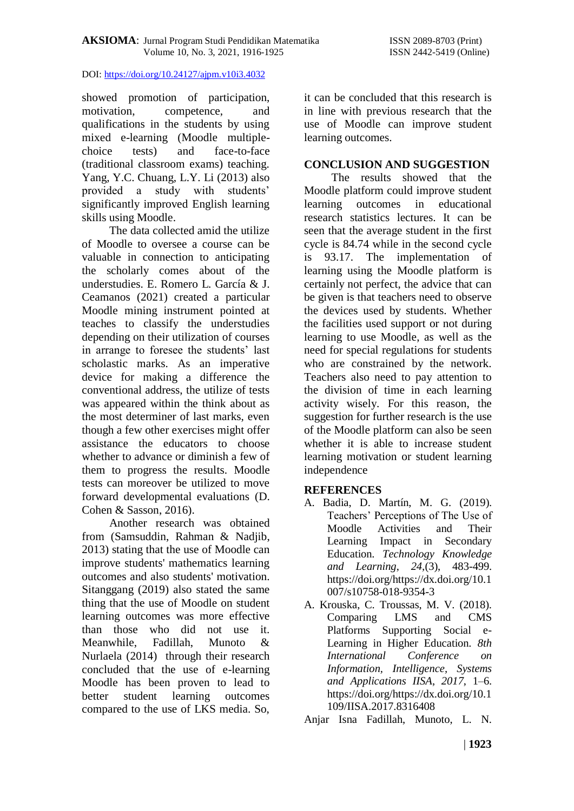showed promotion of participation, motivation, competence, and qualifications in the students by using mixed e-learning (Moodle multiplechoice tests) and face-to-face (traditional classroom exams) teaching. Yang, Y.C. Chuang, L.Y. Li (2013) also provided a study with students' significantly improved English learning skills using Moodle.

The data collected amid the utilize of Moodle to oversee a course can be valuable in connection to anticipating the scholarly comes about of the understudies. E. Romero L. García & J. Ceamanos (2021) created a particular Moodle mining instrument pointed at teaches to classify the understudies depending on their utilization of courses in arrange to foresee the students' last scholastic marks. As an imperative device for making a difference the conventional address, the utilize of tests was appeared within the think about as the most determiner of last marks, even though a few other exercises might offer assistance the educators to choose whether to advance or diminish a few of them to progress the results. Moodle tests can moreover be utilized to move forward developmental evaluations (D. Cohen & Sasson, 2016).

Another research was obtained from (Samsuddin, Rahman & Nadjib, 2013) stating that the use of Moodle can improve students' mathematics learning outcomes and also students' motivation. Sitanggang (2019) also stated the same thing that the use of Moodle on student learning outcomes was more effective than those who did not use it. Meanwhile, Fadillah, Munoto & Nurlaela (2014) through their research concluded that the use of e-learning Moodle has been proven to lead to better student learning outcomes compared to the use of LKS media. So,

it can be concluded that this research is in line with previous research that the use of Moodle can improve student learning outcomes.

## **CONCLUSION AND SUGGESTION**

The results showed that the Moodle platform could improve student learning outcomes in educational research statistics lectures. It can be seen that the average student in the first cycle is 84.74 while in the second cycle is 93.17. The implementation of learning using the Moodle platform is certainly not perfect, the advice that can be given is that teachers need to observe the devices used by students. Whether the facilities used support or not during learning to use Moodle, as well as the need for special regulations for students who are constrained by the network. Teachers also need to pay attention to the division of time in each learning activity wisely. For this reason, the suggestion for further research is the use of the Moodle platform can also be seen whether it is able to increase student learning motivation or student learning independence

# **REFERENCES**

- A. Badia, D. Martín, M. G. (2019). Teachers' Perceptions of The Use of Moodle Activities and Their Learning Impact in Secondary Education. *Technology Knowledge and Learning*, *24,*(3), 483-499. https://doi.org/https://dx.doi.org/10.1 007/s10758-018-9354-3
- A. Krouska, C. Troussas, M. V. (2018). Comparing LMS and CMS Platforms Supporting Social e-Learning in Higher Education. *8th International Conference on Information, Intelligence, Systems and Applications IISA*, *2017*, 1–6. https://doi.org/https://dx.doi.org/10.1 109/IISA.2017.8316408

Anjar Isna Fadillah, Munoto, L. N.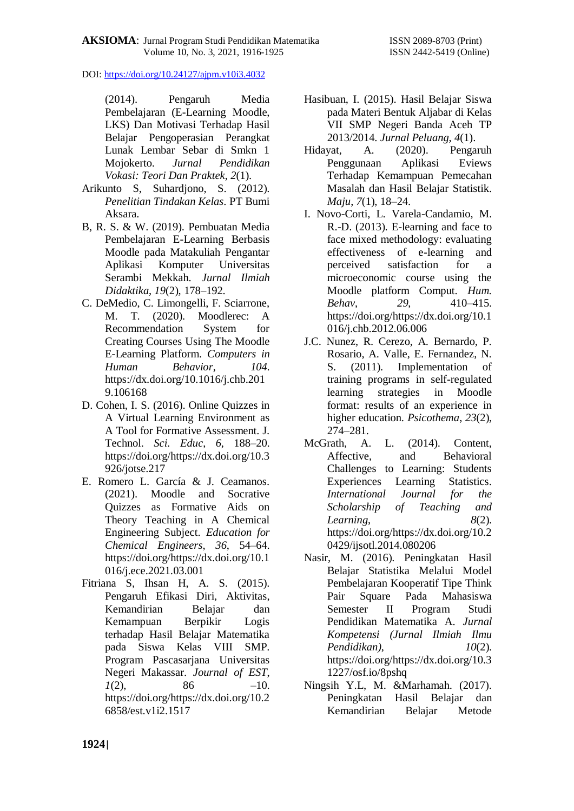(2014). Pengaruh Media Pembelajaran (E-Learning Moodle, LKS) Dan Motivasi Terhadap Hasil Belajar Pengoperasian Perangkat Lunak Lembar Sebar di Smkn 1 Mojokerto. *Jurnal Pendidikan Vokasi: Teori Dan Praktek*, *2*(1).

- Arikunto S, Suhardjono, S. (2012). *Penelitian Tindakan Kelas*. PT Bumi Aksara.
- B, R. S. & W. (2019). Pembuatan Media Pembelajaran E-Learning Berbasis Moodle pada Matakuliah Pengantar Aplikasi Komputer Universitas Serambi Mekkah. *Jurnal Ilmiah Didaktika*, *19*(2), 178–192.
- C. DeMedio, C. Limongelli, F. Sciarrone, M. T. (2020). Moodlerec: A Recommendation System for Creating Courses Using The Moodle E-Learning Platform. *Computers in Human Behavior*, *104*. https://dx.doi.org/10.1016/j.chb.201 9.106168
- D. Cohen, I. S. (2016). Online Quizzes in A Virtual Learning Environment as A Tool for Formative Assessment. J. Technol. *Sci. Educ*, *6*, 188–20. https://doi.org/https://dx.doi.org/10.3 926/jotse.217
- E. Romero L. García & J. Ceamanos. (2021). Moodle and Socrative Quizzes as Formative Aids on Theory Teaching in A Chemical Engineering Subject. *Education for Chemical Engineers*, *36*, 54–64. https://doi.org/https://dx.doi.org/10.1 016/j.ece.2021.03.001
- Fitriana S, Ihsan H, A. S. (2015). Pengaruh Efikasi Diri, Aktivitas, Kemandirian Belajar dan Kemampuan Berpikir Logis terhadap Hasil Belajar Matematika pada Siswa Kelas VIII SMP. Program Pascasarjana Universitas Negeri Makassar. *Journal of EST*,  $1(2)$ , 86 –10. https://doi.org/https://dx.doi.org/10.2 6858/est.v1i2.1517
- Hasibuan, I. (2015). Hasil Belajar Siswa pada Materi Bentuk Aljabar di Kelas VII SMP Negeri Banda Aceh TP 2013/2014. *Jurnal Peluang*, *4*(1).
- Hidayat, A. (2020). Pengaruh Penggunaan Aplikasi Eviews Terhadap Kemampuan Pemecahan Masalah dan Hasil Belajar Statistik. *Maju*, *7*(1), 18–24.
- I. Novo-Corti, L. Varela-Candamio, M. R.-D. (2013). E-learning and face to face mixed methodology: evaluating effectiveness of e-learning and perceived satisfaction for a microeconomic course using the Moodle platform Comput. *Hum. Behav*, *29*, 410–415. https://doi.org/https://dx.doi.org/10.1 016/j.chb.2012.06.006
- J.C. Nunez, R. Cerezo, A. Bernardo, P. Rosario, A. Valle, E. Fernandez, N. S. (2011). Implementation of training programs in self-regulated learning strategies in Moodle format: results of an experience in higher education. *Psicothema*, *23*(2), 274–281.
- McGrath, A. L. (2014). Content, Affective, and Behavioral Challenges to Learning: Students Experiences Learning Statistics. *International Journal for the Scholarship of Teaching and Learning*, *8*(2). https://doi.org/https://dx.doi.org/10.2 0429/ijsotl.2014.080206
- Nasir, M. (2016). Peningkatan Hasil Belajar Statistika Melalui Model Pembelajaran Kooperatif Tipe Think Pair Square Pada Mahasiswa Semester II Program Studi Pendidikan Matematika A. *Jurnal Kompetensi (Jurnal Ilmiah Ilmu Pendidikan)*, *10*(2). https://doi.org/https://dx.doi.org/10.3 1227/osf.io/8pshq
- Ningsih Y.L, M. &Marhamah. (2017). Peningkatan Hasil Belajar dan Kemandirian Belajar Metode